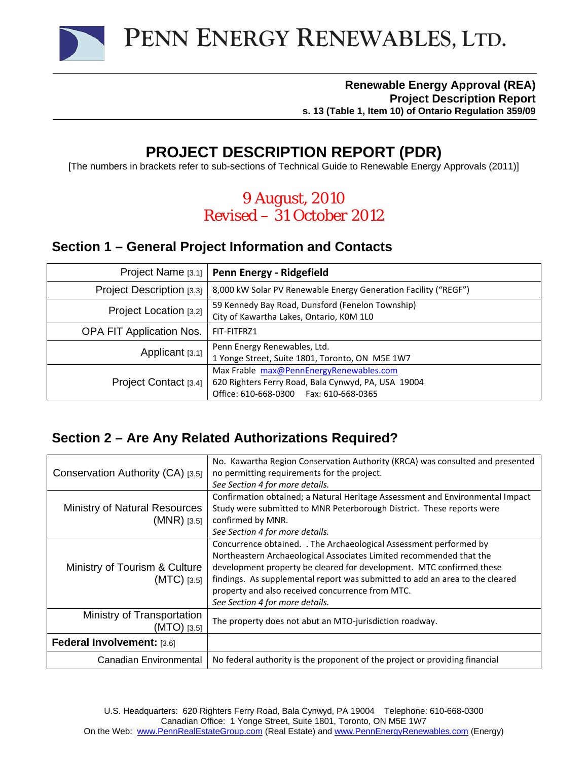

#### **Renewable Energy Approval (REA) Project Description Report s. 13 (Table 1, Item 10) of Ontario Regulation 359/09**

# **PROJECT DESCRIPTION REPORT (PDR)**

[The numbers in brackets refer to sub-sections of Technical Guide to Renewable Energy Approvals (2011)]

# *9 August, 2010 Revised – 31 October 2012*

### **Section 1 – General Project Information and Contacts**

| Project Name [3.1]        | Penn Energy - Ridgefield                                                                                                                   |
|---------------------------|--------------------------------------------------------------------------------------------------------------------------------------------|
| Project Description [3.3] | 8,000 kW Solar PV Renewable Energy Generation Facility ("REGF")                                                                            |
| Project Location [3.2]    | 59 Kennedy Bay Road, Dunsford (Fenelon Township)<br>City of Kawartha Lakes, Ontario, KOM 1L0                                               |
| OPA FIT Application Nos.  | FIT-FITFRZ1                                                                                                                                |
| Applicant [3.1]           | Penn Energy Renewables, Ltd.<br>1 Yonge Street, Suite 1801, Toronto, ON M5E 1W7                                                            |
| Project Contact [3.4]     | Max Frable max@PennEnergyRenewables.com<br>620 Righters Ferry Road, Bala Cynwyd, PA, USA 19004<br>Office: 610-668-0300   Fax: 610-668-0365 |

### **Section 2 – Are Any Related Authorizations Required?**

| Conservation Authority (CA) [3.5]                     | No. Kawartha Region Conservation Authority (KRCA) was consulted and presented<br>no permitting requirements for the project.<br>See Section 4 for more details.                                                                                                                                                                                                                          |
|-------------------------------------------------------|------------------------------------------------------------------------------------------------------------------------------------------------------------------------------------------------------------------------------------------------------------------------------------------------------------------------------------------------------------------------------------------|
| <b>Ministry of Natural Resources</b><br>$(MNR)$ [3.5] | Confirmation obtained; a Natural Heritage Assessment and Environmental Impact<br>Study were submitted to MNR Peterborough District. These reports were<br>confirmed by MNR.<br>See Section 4 for more details.                                                                                                                                                                           |
| Ministry of Tourism & Culture<br>$(MTC)$ [3.5]        | Concurrence obtained. . The Archaeological Assessment performed by<br>Northeastern Archaeological Associates Limited recommended that the<br>development property be cleared for development. MTC confirmed these<br>findings. As supplemental report was submitted to add an area to the cleared<br>property and also received concurrence from MTC.<br>See Section 4 for more details. |
| Ministry of Transportation<br>$(MTO)$ [3.5]           | The property does not abut an MTO-jurisdiction roadway.                                                                                                                                                                                                                                                                                                                                  |
| Federal Involvement: [3.6]                            |                                                                                                                                                                                                                                                                                                                                                                                          |
| Canadian Environmental                                | No federal authority is the proponent of the project or providing financial                                                                                                                                                                                                                                                                                                              |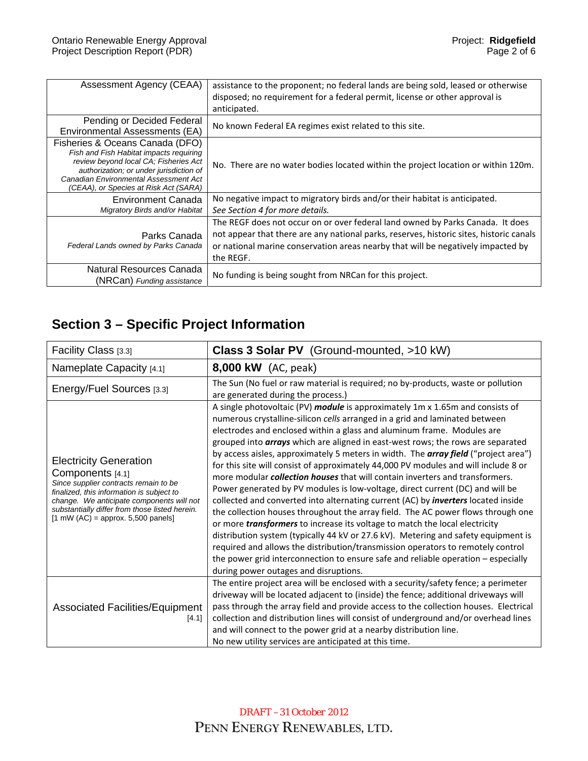| Assessment Agency (CEAA)                                                                                                                                                                                                                         | assistance to the proponent; no federal lands are being sold, leased or otherwise<br>disposed; no requirement for a federal permit, license or other approval is<br>anticipated.                                                                                           |
|--------------------------------------------------------------------------------------------------------------------------------------------------------------------------------------------------------------------------------------------------|----------------------------------------------------------------------------------------------------------------------------------------------------------------------------------------------------------------------------------------------------------------------------|
| Pending or Decided Federal<br>Environmental Assessments (EA)                                                                                                                                                                                     | No known Federal EA regimes exist related to this site.                                                                                                                                                                                                                    |
| Fisheries & Oceans Canada (DFO)<br>Fish and Fish Habitat impacts requiring<br>review beyond local CA; Fisheries Act<br>authorization; or under jurisdiction of<br>Canadian Environmental Assessment Act<br>(CEAA), or Species at Risk Act (SARA) | No. There are no water bodies located within the project location or within 120m.                                                                                                                                                                                          |
| Environment Canada<br>Migratory Birds and/or Habitat                                                                                                                                                                                             | No negative impact to migratory birds and/or their habitat is anticipated.<br>See Section 4 for more details.                                                                                                                                                              |
| Parks Canada<br>Federal Lands owned by Parks Canada                                                                                                                                                                                              | The REGF does not occur on or over federal land owned by Parks Canada. It does<br>not appear that there are any national parks, reserves, historic sites, historic canals<br>or national marine conservation areas nearby that will be negatively impacted by<br>the REGF. |
| Natural Resources Canada<br>(NRCan) Funding assistance                                                                                                                                                                                           | No funding is being sought from NRCan for this project.                                                                                                                                                                                                                    |

# **Section 3 – Specific Project Information**

| Facility Class [3.3]                                                                                                                                                                                                                                                                                   | Class 3 Solar PV (Ground-mounted, >10 kW)                                                                                                                                                                                                                                                                                                                                                                                                                                                                                                                                                                                                                                                                                                                                                                                                                                                                                                                                                                                                                                                                                                                                                                                                                                  |
|--------------------------------------------------------------------------------------------------------------------------------------------------------------------------------------------------------------------------------------------------------------------------------------------------------|----------------------------------------------------------------------------------------------------------------------------------------------------------------------------------------------------------------------------------------------------------------------------------------------------------------------------------------------------------------------------------------------------------------------------------------------------------------------------------------------------------------------------------------------------------------------------------------------------------------------------------------------------------------------------------------------------------------------------------------------------------------------------------------------------------------------------------------------------------------------------------------------------------------------------------------------------------------------------------------------------------------------------------------------------------------------------------------------------------------------------------------------------------------------------------------------------------------------------------------------------------------------------|
| Nameplate Capacity [4.1]                                                                                                                                                                                                                                                                               | <b>8,000 kW</b> (AC, peak)                                                                                                                                                                                                                                                                                                                                                                                                                                                                                                                                                                                                                                                                                                                                                                                                                                                                                                                                                                                                                                                                                                                                                                                                                                                 |
| Energy/Fuel Sources [3.3]                                                                                                                                                                                                                                                                              | The Sun (No fuel or raw material is required; no by-products, waste or pollution<br>are generated during the process.)                                                                                                                                                                                                                                                                                                                                                                                                                                                                                                                                                                                                                                                                                                                                                                                                                                                                                                                                                                                                                                                                                                                                                     |
| <b>Electricity Generation</b><br>Components [4.1]<br>Since supplier contracts remain to be<br>finalized, this information is subject to<br>change. We anticipate components will not<br>substantially differ from those listed herein.<br>$[1 \text{ mW (AC)} = \text{approx. } 5,500 \text{ panels}]$ | A single photovoltaic (PV) module is approximately 1m x 1.65m and consists of<br>numerous crystalline-silicon cells arranged in a grid and laminated between<br>electrodes and enclosed within a glass and aluminum frame. Modules are<br>grouped into <b>arrays</b> which are aligned in east-west rows; the rows are separated<br>by access aisles, approximately 5 meters in width. The <b>array field</b> ("project area")<br>for this site will consist of approximately 44,000 PV modules and will include 8 or<br>more modular <i>collection houses</i> that will contain inverters and transformers.<br>Power generated by PV modules is low-voltage, direct current (DC) and will be<br>collected and converted into alternating current (AC) by <i>inverters</i> located inside<br>the collection houses throughout the array field. The AC power flows through one<br>or more <i>transformers</i> to increase its voltage to match the local electricity<br>distribution system (typically 44 kV or 27.6 kV). Metering and safety equipment is<br>required and allows the distribution/transmission operators to remotely control<br>the power grid interconnection to ensure safe and reliable operation - especially<br>during power outages and disruptions. |
| <b>Associated Facilities/Equipment</b><br>[4.1]                                                                                                                                                                                                                                                        | The entire project area will be enclosed with a security/safety fence; a perimeter<br>driveway will be located adjacent to (inside) the fence; additional driveways will<br>pass through the array field and provide access to the collection houses. Electrical<br>collection and distribution lines will consist of underground and/or overhead lines<br>and will connect to the power grid at a nearby distribution line.                                                                                                                                                                                                                                                                                                                                                                                                                                                                                                                                                                                                                                                                                                                                                                                                                                               |
|                                                                                                                                                                                                                                                                                                        | No new utility services are anticipated at this time.                                                                                                                                                                                                                                                                                                                                                                                                                                                                                                                                                                                                                                                                                                                                                                                                                                                                                                                                                                                                                                                                                                                                                                                                                      |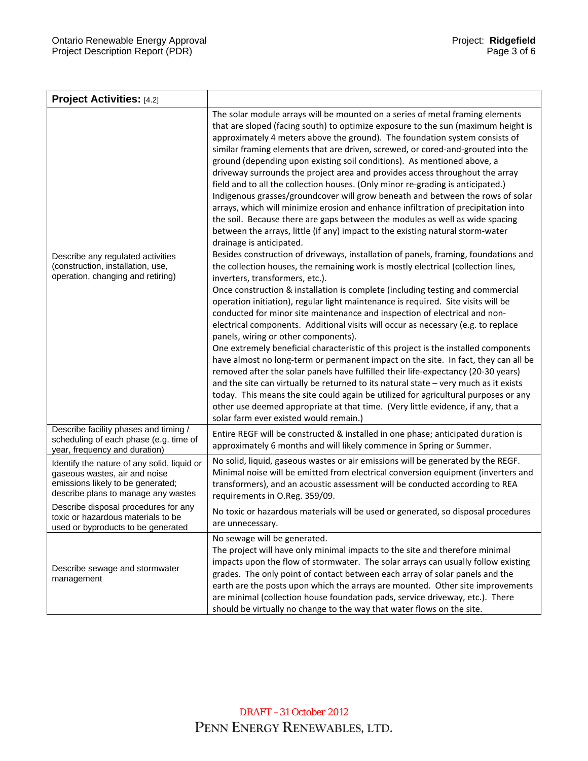| <b>Project Activities:</b> [4.2]                                                                                                                         |                                                                                                                                                                                                                                                                                                                                                                                                                                                                                                                                                                                                                                                                                                                                                                                                                                                                                                                                                                                                                                                                                                                                                                                                                                                                                                                                                                                                                                                                                                                                                                                                                                                                                                                                                                                                                                                                                                                                                                                                                                                                                                                                           |
|----------------------------------------------------------------------------------------------------------------------------------------------------------|-------------------------------------------------------------------------------------------------------------------------------------------------------------------------------------------------------------------------------------------------------------------------------------------------------------------------------------------------------------------------------------------------------------------------------------------------------------------------------------------------------------------------------------------------------------------------------------------------------------------------------------------------------------------------------------------------------------------------------------------------------------------------------------------------------------------------------------------------------------------------------------------------------------------------------------------------------------------------------------------------------------------------------------------------------------------------------------------------------------------------------------------------------------------------------------------------------------------------------------------------------------------------------------------------------------------------------------------------------------------------------------------------------------------------------------------------------------------------------------------------------------------------------------------------------------------------------------------------------------------------------------------------------------------------------------------------------------------------------------------------------------------------------------------------------------------------------------------------------------------------------------------------------------------------------------------------------------------------------------------------------------------------------------------------------------------------------------------------------------------------------------------|
| Describe any regulated activities<br>(construction, installation, use,<br>operation, changing and retiring)                                              | The solar module arrays will be mounted on a series of metal framing elements<br>that are sloped (facing south) to optimize exposure to the sun (maximum height is<br>approximately 4 meters above the ground). The foundation system consists of<br>similar framing elements that are driven, screwed, or cored-and-grouted into the<br>ground (depending upon existing soil conditions). As mentioned above, a<br>driveway surrounds the project area and provides access throughout the array<br>field and to all the collection houses. (Only minor re-grading is anticipated.)<br>Indigenous grasses/groundcover will grow beneath and between the rows of solar<br>arrays, which will minimize erosion and enhance infiltration of precipitation into<br>the soil. Because there are gaps between the modules as well as wide spacing<br>between the arrays, little (if any) impact to the existing natural storm-water<br>drainage is anticipated.<br>Besides construction of driveways, installation of panels, framing, foundations and<br>the collection houses, the remaining work is mostly electrical (collection lines,<br>inverters, transformers, etc.).<br>Once construction & installation is complete (including testing and commercial<br>operation initiation), regular light maintenance is required. Site visits will be<br>conducted for minor site maintenance and inspection of electrical and non-<br>electrical components. Additional visits will occur as necessary (e.g. to replace<br>panels, wiring or other components).<br>One extremely beneficial characteristic of this project is the installed components<br>have almost no long-term or permanent impact on the site. In fact, they can all be<br>removed after the solar panels have fulfilled their life-expectancy (20-30 years)<br>and the site can virtually be returned to its natural state - very much as it exists<br>today. This means the site could again be utilized for agricultural purposes or any<br>other use deemed appropriate at that time. (Very little evidence, if any, that a<br>solar farm ever existed would remain.) |
| Describe facility phases and timing /<br>scheduling of each phase (e.g. time of<br>year, frequency and duration)                                         | Entire REGF will be constructed & installed in one phase; anticipated duration is<br>approximately 6 months and will likely commence in Spring or Summer.                                                                                                                                                                                                                                                                                                                                                                                                                                                                                                                                                                                                                                                                                                                                                                                                                                                                                                                                                                                                                                                                                                                                                                                                                                                                                                                                                                                                                                                                                                                                                                                                                                                                                                                                                                                                                                                                                                                                                                                 |
| Identify the nature of any solid, liquid or<br>gaseous wastes, air and noise<br>emissions likely to be generated;<br>describe plans to manage any wastes | No solid, liquid, gaseous wastes or air emissions will be generated by the REGF.<br>Minimal noise will be emitted from electrical conversion equipment (inverters and<br>transformers), and an acoustic assessment will be conducted according to REA<br>requirements in O.Reg. 359/09.                                                                                                                                                                                                                                                                                                                                                                                                                                                                                                                                                                                                                                                                                                                                                                                                                                                                                                                                                                                                                                                                                                                                                                                                                                                                                                                                                                                                                                                                                                                                                                                                                                                                                                                                                                                                                                                   |
| Describe disposal procedures for any<br>toxic or hazardous materials to be<br>used or byproducts to be generated                                         | No toxic or hazardous materials will be used or generated, so disposal procedures<br>are unnecessary.                                                                                                                                                                                                                                                                                                                                                                                                                                                                                                                                                                                                                                                                                                                                                                                                                                                                                                                                                                                                                                                                                                                                                                                                                                                                                                                                                                                                                                                                                                                                                                                                                                                                                                                                                                                                                                                                                                                                                                                                                                     |
| Describe sewage and stormwater<br>management                                                                                                             | No sewage will be generated.<br>The project will have only minimal impacts to the site and therefore minimal<br>impacts upon the flow of stormwater. The solar arrays can usually follow existing<br>grades. The only point of contact between each array of solar panels and the<br>earth are the posts upon which the arrays are mounted. Other site improvements<br>are minimal (collection house foundation pads, service driveway, etc.). There<br>should be virtually no change to the way that water flows on the site.                                                                                                                                                                                                                                                                                                                                                                                                                                                                                                                                                                                                                                                                                                                                                                                                                                                                                                                                                                                                                                                                                                                                                                                                                                                                                                                                                                                                                                                                                                                                                                                                            |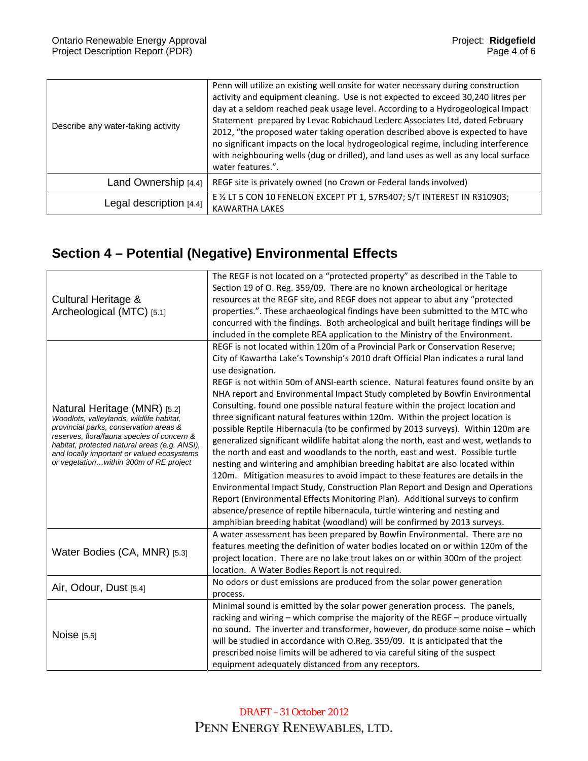| Describe any water-taking activity | Penn will utilize an existing well onsite for water necessary during construction<br>activity and equipment cleaning. Use is not expected to exceed 30,240 litres per<br>day at a seldom reached peak usage level. According to a Hydrogeological Impact<br>Statement prepared by Levac Robichaud Leclerc Associates Ltd, dated February<br>2012, "the proposed water taking operation described above is expected to have<br>no significant impacts on the local hydrogeological regime, including interference<br>with neighbouring wells (dug or drilled), and land uses as well as any local surface<br>water features.". |
|------------------------------------|-------------------------------------------------------------------------------------------------------------------------------------------------------------------------------------------------------------------------------------------------------------------------------------------------------------------------------------------------------------------------------------------------------------------------------------------------------------------------------------------------------------------------------------------------------------------------------------------------------------------------------|
| Land Ownership [4.4]               | REGF site is privately owned (no Crown or Federal lands involved)                                                                                                                                                                                                                                                                                                                                                                                                                                                                                                                                                             |
| Legal description [4.4]            | E 1/2 LT 5 CON 10 FENELON EXCEPT PT 1, 57R5407; S/T INTEREST IN R310903;<br><b>KAWARTHA LAKES</b>                                                                                                                                                                                                                                                                                                                                                                                                                                                                                                                             |

# **Section 4 – Potential (Negative) Environmental Effects**

| Cultural Heritage &<br>Archeological (MTC) [5.1]                                            | The REGF is not located on a "protected property" as described in the Table to       |
|---------------------------------------------------------------------------------------------|--------------------------------------------------------------------------------------|
|                                                                                             | Section 19 of O. Reg. 359/09. There are no known archeological or heritage           |
|                                                                                             | resources at the REGF site, and REGF does not appear to abut any "protected          |
|                                                                                             | properties.". These archaeological findings have been submitted to the MTC who       |
|                                                                                             | concurred with the findings. Both archeological and built heritage findings will be  |
|                                                                                             | included in the complete REA application to the Ministry of the Environment.         |
|                                                                                             | REGF is not located within 120m of a Provincial Park or Conservation Reserve;        |
|                                                                                             | City of Kawartha Lake's Township's 2010 draft Official Plan indicates a rural land   |
|                                                                                             | use designation.                                                                     |
|                                                                                             | REGF is not within 50m of ANSI-earth science. Natural features found onsite by an    |
|                                                                                             | NHA report and Environmental Impact Study completed by Bowfin Environmental          |
|                                                                                             | Consulting. found one possible natural feature within the project location and       |
| Natural Heritage (MNR) [5.2]<br>Woodlots, valleylands, wildlife habitat,                    | three significant natural features within 120m. Within the project location is       |
| provincial parks, conservation areas &                                                      | possible Reptile Hibernacula (to be confirmed by 2013 surveys). Within 120m are      |
| reserves, flora/fauna species of concern &                                                  | generalized significant wildlife habitat along the north, east and west, wetlands to |
| habitat, protected natural areas (e.g. ANSI),<br>and locally important or valued ecosystems | the north and east and woodlands to the north, east and west. Possible turtle        |
| or vegetationwithin 300m of RE project                                                      | nesting and wintering and amphibian breeding habitat are also located within         |
|                                                                                             | 120m. Mitigation measures to avoid impact to these features are details in the       |
|                                                                                             | Environmental Impact Study, Construction Plan Report and Design and Operations       |
|                                                                                             | Report (Environmental Effects Monitoring Plan). Additional surveys to confirm        |
|                                                                                             | absence/presence of reptile hibernacula, turtle wintering and nesting and            |
|                                                                                             | amphibian breeding habitat (woodland) will be confirmed by 2013 surveys.             |
|                                                                                             | A water assessment has been prepared by Bowfin Environmental. There are no           |
|                                                                                             | features meeting the definition of water bodies located on or within 120m of the     |
| Water Bodies (CA, MNR) [5.3]                                                                | project location. There are no lake trout lakes on or within 300m of the project     |
|                                                                                             |                                                                                      |
|                                                                                             | location. A Water Bodies Report is not required.                                     |
| Air, Odour, Dust [5.4]                                                                      | No odors or dust emissions are produced from the solar power generation              |
|                                                                                             | process.                                                                             |
| Noise [5.5]                                                                                 | Minimal sound is emitted by the solar power generation process. The panels,          |
|                                                                                             | racking and wiring - which comprise the majority of the REGF - produce virtually     |
|                                                                                             | no sound. The inverter and transformer, however, do produce some noise - which       |
|                                                                                             | will be studied in accordance with O.Reg. 359/09. It is anticipated that the         |
|                                                                                             | prescribed noise limits will be adhered to via careful siting of the suspect         |
|                                                                                             | equipment adequately distanced from any receptors.                                   |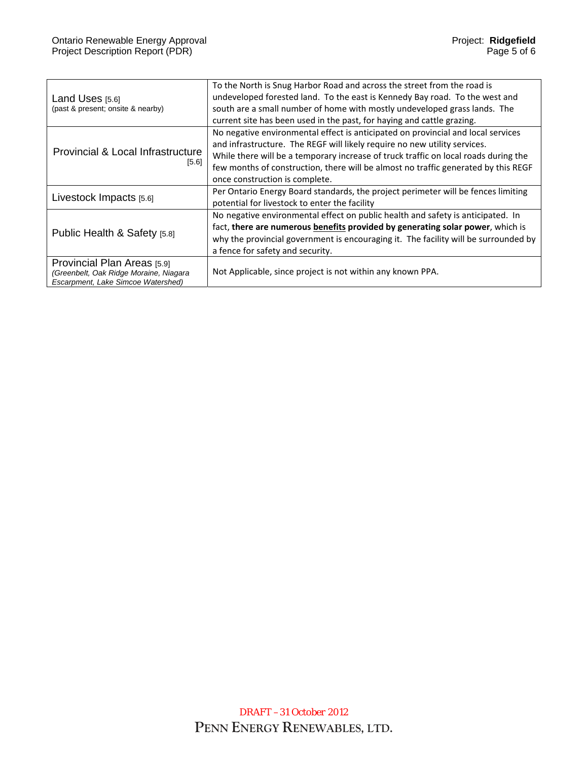| Land Uses $[5.6]$<br>(past & present; onsite & nearby)                                                      | To the North is Snug Harbor Road and across the street from the road is<br>undeveloped forested land. To the east is Kennedy Bay road. To the west and<br>south are a small number of home with mostly undeveloped grass lands. The<br>current site has been used in the past, for haying and cattle grazing.                                                                |
|-------------------------------------------------------------------------------------------------------------|------------------------------------------------------------------------------------------------------------------------------------------------------------------------------------------------------------------------------------------------------------------------------------------------------------------------------------------------------------------------------|
| Provincial & Local Infrastructure<br>$[5.6]$                                                                | No negative environmental effect is anticipated on provincial and local services<br>and infrastructure. The REGF will likely require no new utility services.<br>While there will be a temporary increase of truck traffic on local roads during the<br>few months of construction, there will be almost no traffic generated by this REGF<br>once construction is complete. |
| Livestock Impacts [5.6]                                                                                     | Per Ontario Energy Board standards, the project perimeter will be fences limiting<br>potential for livestock to enter the facility                                                                                                                                                                                                                                           |
| Public Health & Safety [5.8]                                                                                | No negative environmental effect on public health and safety is anticipated. In<br>fact, there are numerous benefits provided by generating solar power, which is<br>why the provincial government is encouraging it. The facility will be surrounded by<br>a fence for safety and security.                                                                                 |
| Provincial Plan Areas [5.9]<br>(Greenbelt, Oak Ridge Moraine, Niagara<br>Escarpment, Lake Simcoe Watershed) | Not Applicable, since project is not within any known PPA.                                                                                                                                                                                                                                                                                                                   |